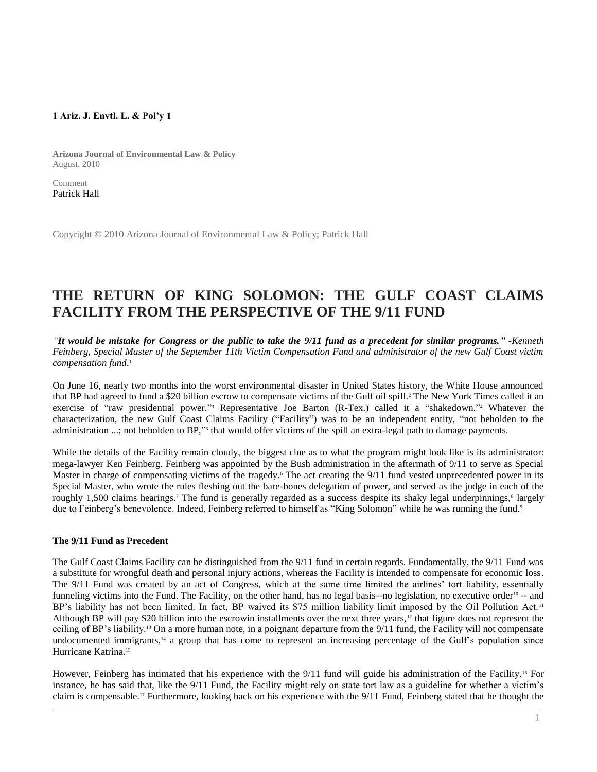## **1 Ariz. J. Envtl. L. & Pol'y 1**

**Arizona Journal of Environmental Law & Policy** August, 2010

Comment [Patrick Hall](http://www.westlaw.com/Link/Document/FullText?findType=h&pubNum=176284&cite=0344024901&originatingDoc=Ic08a3aca8c0f11e498db8b09b4f043e0&refType=RQ&originationContext=document&vr=3.0&rs=cblt1.0&transitionType=DocumentItem&contextData=(sc.Search))

Copyright © 2010 Arizona Journal of Environmental Law & Policy; Patrick Hall

# **THE RETURN OF KING SOLOMON: THE GULF COAST CLAIMS FACILITY FROM THE PERSPECTIVE OF THE 9/11 FUND**

*"It would be mistake for Congress or the public to take the 9/11 fund as a precedent for similar programs." -Kenneth Feinberg, Special Master of the September 11th Victim Compensation Fund and administrator of the new Gulf Coast victim compensation fund*. 1

On June 16, nearly two months into the worst environmental disaster in United States history, the White House announced that BP had agreed to fund a \$20 billion escrow to compensate victims of the Gulf oil spill.<sup>2</sup> The New York Times called it an exercise of "raw presidential power." Representative Joe Barton (R-Tex.) called it a "shakedown." Whatever the characterization, the new Gulf Coast Claims Facility ("Facility") was to be an independent entity, "not beholden to the administration ...; not beholden to BP," that would offer victims of the spill an extra-legal path to damage payments.

While the details of the Facility remain cloudy, the biggest clue as to what the program might look like is its administrator: mega-lawyer Ken Feinberg. Feinberg was appointed by the Bush administration in the aftermath of 9/11 to serve as Special Master in charge of compensating victims of the tragedy.<sup>6</sup> The act creating the 9/11 fund vested unprecedented power in its Special Master, who wrote the rules fleshing out the bare-bones delegation of power, and served as the judge in each of the roughly 1,500 claims hearings.<sup>7</sup> The fund is generally regarded as a success despite its shaky legal underpinnings,<sup>8</sup> largely due to Feinberg's benevolence. Indeed, Feinberg referred to himself as "King Solomon" while he was running the fund.9

#### **The 9/11 Fund as Precedent**

The Gulf Coast Claims Facility can be distinguished from the 9/11 fund in certain regards. Fundamentally, the 9/11 Fund was a substitute for wrongful death and personal injury actions, whereas the Facility is intended to compensate for economic loss. The 9/11 Fund was created by an act of Congress, which at the same time limited the airlines' tort liability, essentially funneling victims into the Fund. The Facility, on the other hand, has no legal basis--no legislation, no executive order<sup>10</sup> -- and BP's liability has not been limited. In fact, BP waived its \$75 million liability limit imposed by the Oil Pollution Act.<sup>11</sup> Although BP will pay \$20 billion into the escrowin installments over the next three years,<sup>12</sup> that figure does not represent the ceiling of BP's liability.<sup>13</sup> On a more human note, in a poignant departure from the 9/11 fund, the Facility will not compensate undocumented immigrants,<sup>14</sup> a group that has come to represent an increasing percentage of the Gulf's population since Hurricane Katrina.<sup>15</sup>

However, Feinberg has intimated that his experience with the 9/11 fund will guide his administration of the Facility.<sup>16</sup> For instance, he has said that, like the 9/11 Fund, the Facility might rely on state tort law as a guideline for whether a victim's claim is compensable.<sup>17</sup> Furthermore, looking back on his experience with the 9/11 Fund, Feinberg stated that he thought the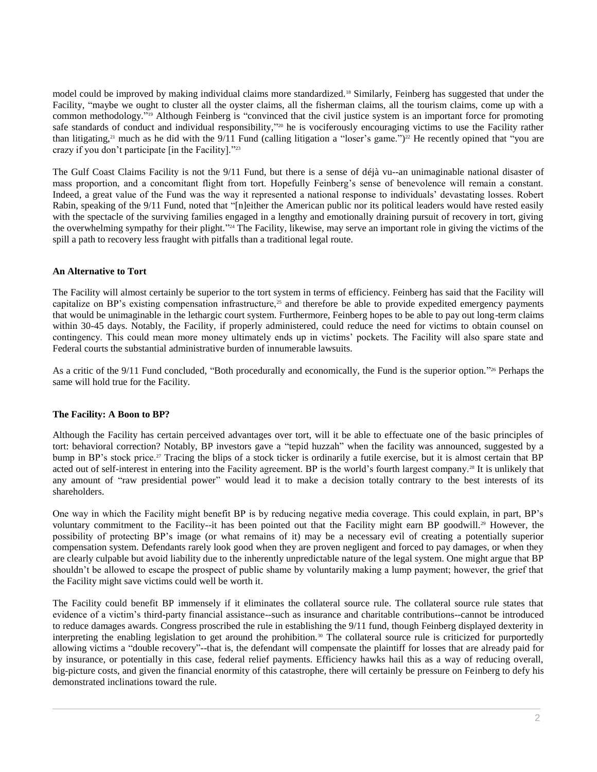model could be improved by making individual claims more standardized.<sup>18</sup> Similarly, Feinberg has suggested that under the Facility, "maybe we ought to cluster all the oyster claims, all the fisherman claims, all the tourism claims, come up with a common methodology." <sup>19</sup> Although Feinberg is "convinced that the civil justice system is an important force for promoting safe standards of conduct and individual responsibility,"<sup>20</sup> he is vociferously encouraging victims to use the Facility rather than litigating,<sup>21</sup> much as he did with the  $9/11$  Fund (calling litigation a "loser's game.")<sup>22</sup> He recently opined that "you are crazy if you don't participate [in the Facility]." 23

The Gulf Coast Claims Facility is not the 9/11 Fund, but there is a sense of déjà vu--an unimaginable national disaster of mass proportion, and a concomitant flight from tort. Hopefully Feinberg's sense of benevolence will remain a constant. Indeed, a great value of the Fund was the way it represented a national response to individuals' devastating losses. Robert Rabin, speaking of the 9/11 Fund, noted that "[n]either the American public nor its political leaders would have rested easily with the spectacle of the surviving families engaged in a lengthy and emotionally draining pursuit of recovery in tort, giving the overwhelming sympathy for their plight." <sup>24</sup> The Facility, likewise, may serve an important role in giving the victims of the spill a path to recovery less fraught with pitfalls than a traditional legal route.

## **An Alternative to Tort**

The Facility will almost certainly be superior to the tort system in terms of efficiency. Feinberg has said that the Facility will capitalize on BP's existing compensation infrastructure,<sup>25</sup> and therefore be able to provide expedited emergency payments that would be unimaginable in the lethargic court system. Furthermore, Feinberg hopes to be able to pay out long-term claims within 30-45 days. Notably, the Facility, if properly administered, could reduce the need for victims to obtain counsel on contingency. This could mean more money ultimately ends up in victims' pockets. The Facility will also spare state and Federal courts the substantial administrative burden of innumerable lawsuits.

As a critic of the 9/11 Fund concluded, "Both procedurally and economically, the Fund is the superior option."<sup>26</sup> Perhaps the same will hold true for the Facility.

## **The Facility: A Boon to BP?**

Although the Facility has certain perceived advantages over tort, will it be able to effectuate one of the basic principles of tort: behavioral correction? Notably, BP investors gave a "tepid huzzah" when the facility was announced, suggested by a bump in BP's stock price.<sup>27</sup> Tracing the blips of a stock ticker is ordinarily a futile exercise, but it is almost certain that BP acted out of self-interest in entering into the Facility agreement. BP is the world's fourth largest company.<sup>28</sup> It is unlikely that any amount of "raw presidential power" would lead it to make a decision totally contrary to the best interests of its shareholders.

One way in which the Facility might benefit BP is by reducing negative media coverage. This could explain, in part, BP's voluntary commitment to the Facility--it has been pointed out that the Facility might earn BP goodwill.<sup>29</sup> However, the possibility of protecting BP's image (or what remains of it) may be a necessary evil of creating a potentially superior compensation system. Defendants rarely look good when they are proven negligent and forced to pay damages, or when they are clearly culpable but avoid liability due to the inherently unpredictable nature of the legal system. One might argue that BP shouldn't be allowed to escape the prospect of public shame by voluntarily making a lump payment; however, the grief that the Facility might save victims could well be worth it.

The Facility could benefit BP immensely if it eliminates the collateral source rule. The collateral source rule states that evidence of a victim's third-party financial assistance--such as insurance and charitable contributions--cannot be introduced to reduce damages awards. Congress proscribed the rule in establishing the 9/11 fund, though Feinberg displayed dexterity in interpreting the enabling legislation to get around the prohibition.<sup>30</sup> The collateral source rule is criticized for purportedly allowing victims a "double recovery"--that is, the defendant will compensate the plaintiff for losses that are already paid for by insurance, or potentially in this case, federal relief payments. Efficiency hawks hail this as a way of reducing overall, big-picture costs, and given the financial enormity of this catastrophe, there will certainly be pressure on Feinberg to defy his demonstrated inclinations toward the rule.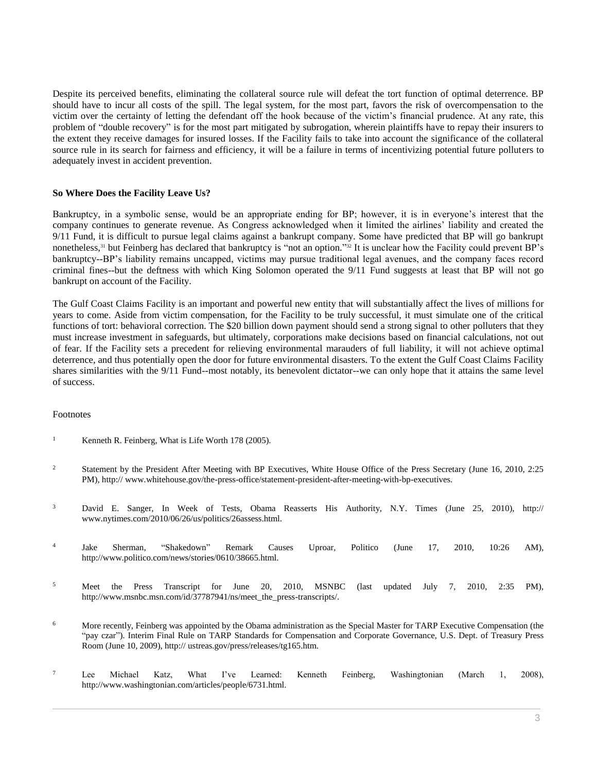Despite its perceived benefits, eliminating the collateral source rule will defeat the tort function of optimal deterrence. BP should have to incur all costs of the spill. The legal system, for the most part, favors the risk of overcompensation to the victim over the certainty of letting the defendant off the hook because of the victim's financial prudence. At any rate, this problem of "double recovery" is for the most part mitigated by subrogation, wherein plaintiffs have to repay their insurers to the extent they receive damages for insured losses. If the Facility fails to take into account the significance of the collateral source rule in its search for fairness and efficiency, it will be a failure in terms of incentivizing potential future polluters to adequately invest in accident prevention.

#### **So Where Does the Facility Leave Us?**

Bankruptcy, in a symbolic sense, would be an appropriate ending for BP; however, it is in everyone's interest that the company continues to generate revenue. As Congress acknowledged when it limited the airlines' liability and created the 9/11 Fund, it is difficult to pursue legal claims against a bankrupt company. Some have predicted that BP will go bankrupt nonetheless,<sup>31</sup> but Feinberg has declared that bankruptcy is "not an option."<sup>32</sup> It is unclear how the Facility could prevent BP's bankruptcy--BP's liability remains uncapped, victims may pursue traditional legal avenues, and the company faces record criminal fines--but the deftness with which King Solomon operated the 9/11 Fund suggests at least that BP will not go bankrupt on account of the Facility.

The Gulf Coast Claims Facility is an important and powerful new entity that will substantially affect the lives of millions for years to come. Aside from victim compensation, for the Facility to be truly successful, it must simulate one of the critical functions of tort: behavioral correction. The \$20 billion down payment should send a strong signal to other polluters that they must increase investment in safeguards, but ultimately, corporations make decisions based on financial calculations, not out of fear. If the Facility sets a precedent for relieving environmental marauders of full liability, it will not achieve optimal deterrence, and thus potentially open the door for future environmental disasters. To the extent the Gulf Coast Claims Facility shares similarities with the 9/11 Fund--most notably, its benevolent dictator--we can only hope that it attains the same level of success.

#### Footnotes

- <sup>1</sup> Kenneth R. Feinberg, What is Life Worth 178 (2005).
- <sup>2</sup> Statement by the President After Meeting with BP Executives, White House Office of the Press Secretary (June 16, 2010, 2:25 PM), http:// www.whitehouse.gov/the-press-office/statement-president-after-meeting-with-bp-executives.
- <sup>3</sup> David E. Sanger, In Week of Tests, Obama Reasserts His Authority, N.Y. Times (June 25, 2010), http:// www.nytimes.com/2010/06/26/us/politics/26assess.html.
- 4 Jake Sherman, "Shakedown" Remark Causes Uproar, Politico (June 17, 2010, 10:26 AM), http://www.politico.com/news/stories/0610/38665.html.
- <sup>5</sup> Meet the Press Transcript for June 20, 2010, MSNBC (last updated July 7, 2010, 2:35 PM), http://www.msnbc.msn.com/id/37787941/ns/meet the press-transcripts/.
- <sup>6</sup> More recently, Feinberg was appointed by the Obama administration as the Special Master for TARP Executive Compensation (the "pay czar"). Interim Final Rule on TARP Standards for Compensation and Corporate Governance, U.S. Dept. of Treasury Press Room (June 10, 2009), http:// ustreas.gov/press/releases/tg165.htm.
- <sup>7</sup> Lee Michael Katz, What I've Learned: Kenneth Feinberg, Washingtonian (March 1, 2008), http://www.washingtonian.com/articles/people/6731.html.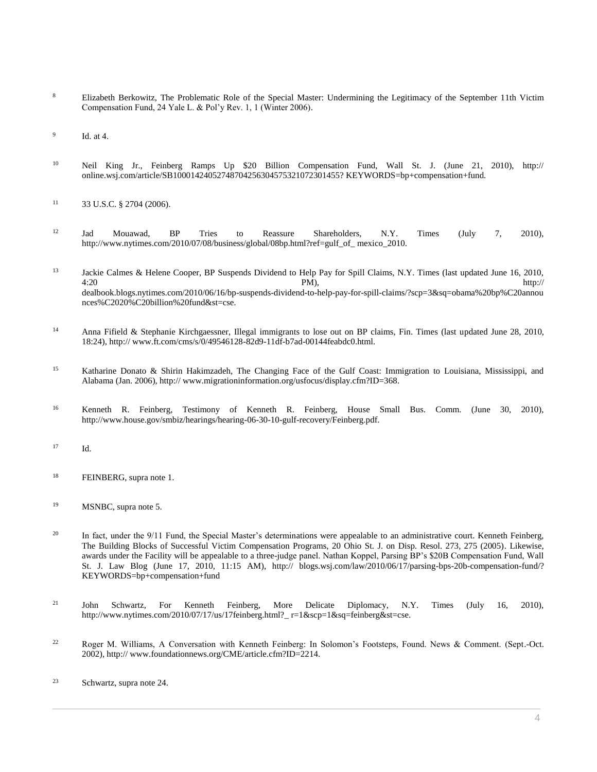- <sup>8</sup> Elizabeth Berkowitz, The Problematic Role of the Special Master: Undermining the Legitimacy of the September 11th Victim [Compensation Fund, 24 Yale L. & Pol'y Rev. 1, 1 \(Winter 2006\).](http://www.westlaw.com/Link/Document/FullText?findType=Y&serNum=0307494386&pubNum=0001293&originatingDoc=Ic08a3aca8c0f11e498db8b09b4f043e0&refType=LR&originationContext=document&vr=3.0&rs=cblt1.0&transitionType=DocumentItem&contextData=(sc.Search))
- 9 [Id. at 4.](http://www.westlaw.com/Link/Document/FullText?findType=Y&serNum=0307494386&pubNum=0001293&originatingDoc=Ic08a3aca8c0f11e498db8b09b4f043e0&refType=LR&fi=co_pp_sp_1293_4&originationContext=document&vr=3.0&rs=cblt1.0&transitionType=DocumentItem&contextData=(sc.Search)#co_pp_sp_1293_4)
- <sup>10</sup> Neil King Jr., Feinberg Ramps Up \$20 Billion Compensation Fund, Wall St. J. (June 21, 2010), http:// online.wsj.com/article/SB10001424052748704256304575321072301455? KEYWORDS=bp+compensation+fund.
- 11 [33 U.S.C. § 2704 \(2006\).](http://www.westlaw.com/Link/Document/FullText?findType=L&pubNum=1000546&cite=33USCAS2704&originatingDoc=Ic08a3aca8c0f11e498db8b09b4f043e0&refType=LQ&originationContext=document&vr=3.0&rs=cblt1.0&transitionType=DocumentItem&contextData=(sc.Search))
- <sup>12</sup> Jad Mouawad, BP Tries to Reassure Shareholders, N.Y. Times (July 7, 2010), http://www.nytimes.com/2010/07/08/business/global/08bp.html?ref=gulf\_of\_ mexico\_2010.
- 13 Jackie Calmes & Helene Cooper, BP Suspends Dividend to Help Pay for Spill Claims, N.Y. Times (last updated June 16, 2010,  $4:20$  PM), http:// dealbook.blogs.nytimes.com/2010/06/16/bp-suspends-dividend-to-help-pay-for-spill-claims/?scp=3&sq=obama%20bp%C20annou nces%C2020%C20billion%20fund&st=cse.
- <sup>14</sup> Anna Fifield & Stephanie Kirchgaessner, Illegal immigrants to lose out on BP claims, Fin. Times (last updated June 28, 2010, 18:24), http:// www.ft.com/cms/s/0/49546128-82d9-11df-b7ad-00144feabdc0.html.
- <sup>15</sup> Katharine Donato & Shirin Hakimzadeh, The Changing Face of the Gulf Coast: Immigration to Louisiana, Mississippi, and Alabama (Jan. 2006), http:// www.migrationinformation.org/usfocus/display.cfm?ID=368.
- <sup>16</sup> Kenneth R. Feinberg, Testimony of Kenneth R. Feinberg, House Small Bus. Comm. (June 30, 2010), http://www.house.gov/smbiz/hearings/hearing-06-30-10-gulf-recovery/Feinberg.pdf.
- <sup>17</sup> Id.
- <sup>18</sup> FEINBERG, supra note 1.
- <sup>19</sup> MSNBC, supra note 5.
- <sup>20</sup> In fact, under the  $9/11$  Fund, the Special Master's determinations were appealable to an administrative court. Kenneth Feinberg, [The Building Blocks of Successful Victim Compensation Programs, 20 Ohio St. J. on Disp. Resol. 273, 275 \(2005\).](http://www.westlaw.com/Link/Document/FullText?findType=Y&serNum=0304093026&pubNum=0001494&originatingDoc=Ic08a3aca8c0f11e498db8b09b4f043e0&refType=LR&fi=co_pp_sp_1494_275&originationContext=document&vr=3.0&rs=cblt1.0&transitionType=DocumentItem&contextData=(sc.Search)#co_pp_sp_1494_275) Likewise, awards under the Facility will be appealable to a three-judge panel. Nathan Koppel, Parsing BP's \$20B Compensation Fund, Wall St. J. Law Blog (June 17, 2010, 11:15 AM), http:// blogs.wsj.com/law/2010/06/17/parsing-bps-20b-compensation-fund/? KEYWORDS=bp+compensation+fund
- $21$  John Schwartz, For Kenneth Feinberg, More Delicate Diplomacy, N.Y. Times (July 16, 2010), http://www.nytimes.com/2010/07/17/us/17feinberg.html?\_r=1&scp=1&sq=feinberg&st=cse.
- <sup>22</sup> Roger M. Williams, A Conversation with Kenneth Feinberg: In Solomon's Footsteps, Found. News & Comment. (Sept.-Oct. 2002), http:// www.foundationnews.org/CME/article.cfm?ID=2214.
- <sup>23</sup> Schwartz, supra note 24.